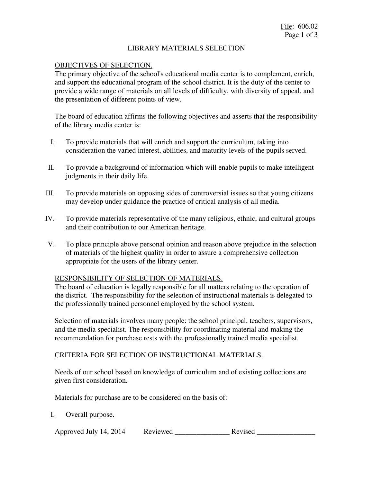## LIBRARY MATERIALS SELECTION

## OBJECTIVES OF SELECTION.

The primary objective of the school's educational media center is to complement, enrich, and support the educational program of the school district. It is the duty of the center to provide a wide range of materials on all levels of difficulty, with diversity of appeal, and the presentation of different points of view.

The board of education affirms the following objectives and asserts that the responsibility of the library media center is:

- I. To provide materials that will enrich and support the curriculum, taking into consideration the varied interest, abilities, and maturity levels of the pupils served.
- II. To provide a background of information which will enable pupils to make intelligent judgments in their daily life.
- III. To provide materials on opposing sides of controversial issues so that young citizens may develop under guidance the practice of critical analysis of all media.
- IV. To provide materials representative of the many religious, ethnic, and cultural groups and their contribution to our American heritage.
- V. To place principle above personal opinion and reason above prejudice in the selection of materials of the highest quality in order to assure a comprehensive collection appropriate for the users of the library center.

## RESPONSIBILITY OF SELECTION OF MATERIALS.

The board of education is legally responsible for all matters relating to the operation of the district. The responsibility for the selection of instructional materials is delegated to the professionally trained personnel employed by the school system.

Selection of materials involves many people: the school principal, teachers, supervisors, and the media specialist. The responsibility for coordinating material and making the recommendation for purchase rests with the professionally trained media specialist.

#### CRITERIA FOR SELECTION OF INSTRUCTIONAL MATERIALS.

Needs of our school based on knowledge of curriculum and of existing collections are given first consideration.

Materials for purchase are to be considered on the basis of:

I. Overall purpose.

| Approved July 14, 2014 | Reviewed | Revised |
|------------------------|----------|---------|
|                        |          |         |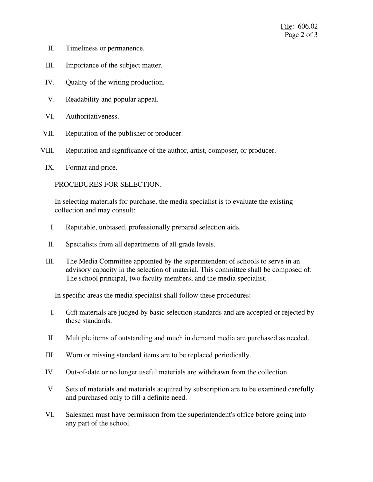- II. Timeliness or permanence.
- III. Importance of the subject matter.
- IV. Quality of the writing production.
- V. Readability and popular appeal.
- VI. Authoritativeness.
- VII. Reputation of the publisher or producer.
- VIII. Reputation and significance of the author, artist, composer, or producer.
- IX. Format and price.

## PROCEDURES FOR SELECTION.

In selecting materials for purchase, the media specialist is to evaluate the existing collection and may consult:

- I. Reputable, unbiased, professionally prepared selection aids.
- II. Specialists from all departments of all grade levels.
- III. The Media Committee appointed by the superintendent of schools to serve in an advisory capacity in the selection of material. This committee shall be composed of: The school principal, two faculty members, and the media specialist.

In specific areas the media specialist shall follow these procedures:

- I. Gift materials are judged by basic selection standards and are accepted or rejected by these standards.
- II. Multiple items of outstanding and much in demand media are purchased as needed.
- III. Worn or missing standard items are to be replaced periodically.
- IV. Out-of-date or no longer useful materials are withdrawn from the collection.
- V. Sets of materials and materials acquired by subscription are to be examined carefully and purchased only to fill a definite need.
- VI. Salesmen must have permission from the superintendent's office before going into any part of the school.